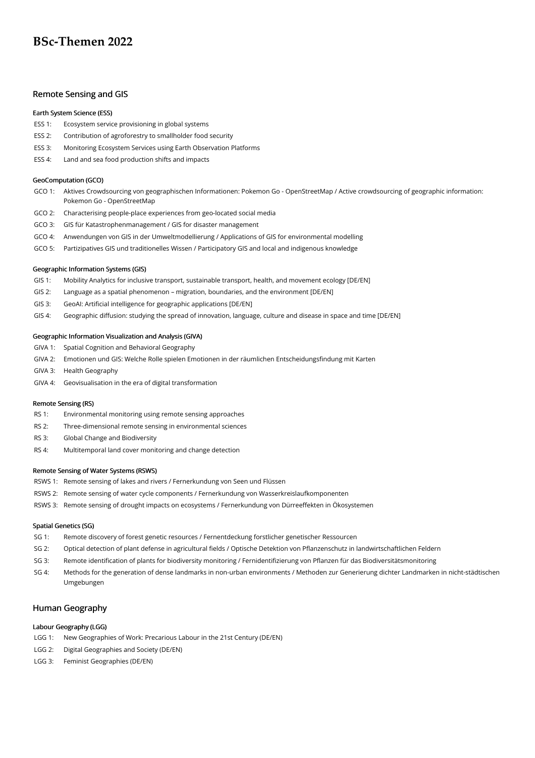# **BSc-Themen 2022**

# Remote Sensing and GIS

#### Earth System Science (ESS)

- ESS 1: Ecosystem service provisioning in global systems
- ESS 2: Contribution of agroforestry to smallholder food security
- ESS 3: Monitoring Ecosystem Services using Earth Observation Platforms
- ESS 4: Land and sea food production shifts and impacts

#### GeoComputation (GCO)

- GCO 1: Aktives Crowdsourcing von geographischen Informationen: Pokemon Go OpenStreetMap / Active crowdsourcing of geographic information: Pokemon Go - OpenStreetMap
- GCO 2: Characterising people-place experiences from geo-located social media
- GCO 3: GIS für Katastrophenmanagement / GIS for disaster management
- GCO 4: Anwendungen von GIS in der Umweltmodellierung / Applications of GIS for environmental modelling
- GCO 5: Partizipatives GIS und traditionelles Wissen / Participatory GIS and local and indigenous knowledge

# Geographic Information Systems (GIS)

- GIS 1: Mobility Analytics for inclusive transport, sustainable transport, health, and movement ecology [DE/EN]
- GIS 2: Language as a spatial phenomenon migration, boundaries, and the environment [DE/EN]
- GIS 3: GeoAI: Artificial intelligence for geographic applications [DE/EN]
- GIS 4: Geographic diffusion: studying the spread of innovation, language, culture and disease in space and time [DE/EN]

#### Geographic Information Visualization and Analysis (GIVA)

- GIVA 1: Spatial Cognition and Behavioral Geography
- GIVA 2: Emotionen und GIS: Welche Rolle spielen Emotionen in der räumlichen Entscheidungsfindung mit Karten
- GIVA 3: Health Geography
- GIVA 4: Geovisualisation in the era of digital transformation

# Remote Sensing (RS)

- RS 1: Environmental monitoring using remote sensing approaches
- RS 2: Three-dimensional remote sensing in environmental sciences
- RS 3: Global Change and Biodiversity
- RS 4: Multitemporal land cover monitoring and change detection

#### Remote Sensing of Water Systems (RSWS)

- RSWS 1: Remote sensing of lakes and rivers / Fernerkundung von Seen und Flüssen
- RSWS 2: Remote sensing of water cycle components / Fernerkundung von Wasserkreislaufkomponenten
- RSWS 3: Remote sensing of drought impacts on ecosystems / Fernerkundung von Dürreeffekten in Ökosystemen

# Spatial Genetics (SG)

- SG 1: Remote discovery of forest genetic resources / Fernentdeckung forstlicher genetischer Ressourcen
- SG 2: Optical detection of plant defense in agricultural fields / Optische Detektion von Pflanzenschutz in landwirtschaftlichen Feldern
- SG 3: Remote identification of plants for biodiversity monitoring / Fernidentifizierung von Pflanzen für das Biodiversitätsmonitoring
- SG 4: Methods for the generation of dense landmarks in non-urban environments / Methoden zur Generierung dichter Landmarken in nicht-städtischen Umgebungen

# Human Geography

# Labour Geography (LGG)

- LGG 1: New Geographies of Work: Precarious Labour in the 21st Century (DE/EN)
- LGG 2: Digital Geographies and Society (DE/EN)
- LGG 3: Feminist Geographies (DE/EN)